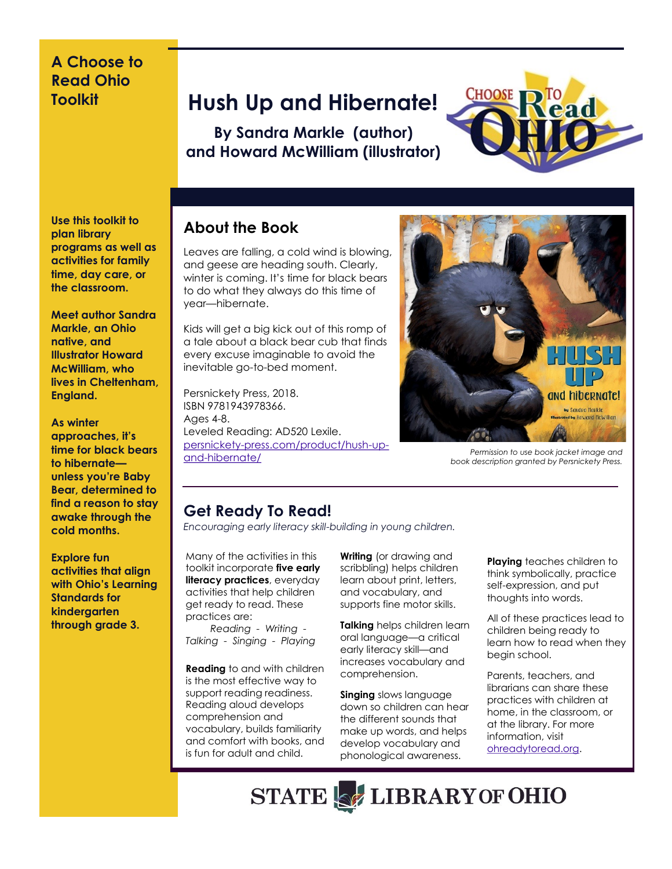## **A Choose to Read Ohio Toolkit**

## **Hush Up and Hibernate!**

**By Sandra Markle (author) and Howard McWilliam (illustrator)**



**Use this toolkit to plan library programs as well as activities for family time, day care, or the classroom.**

**Meet author Sandra Markle, an Ohio native, and Illustrator Howard McWilliam, who lives in Cheltenham, England.** 

#### **As winter approaches, it's time for black bears to hibernate unless you're Baby Bear, determined to find a reason to stay awake through the cold months.**

**Explore fun activities that align with Ohio's Learning Standards for kindergarten through grade 3.** 

## **About the Book**

Leaves are falling, a cold wind is blowing, and geese are heading south. Clearly, winter is coming. It's time for black bears to do what they always do this time of year—hibernate.

Kids will get a big kick out of this romp of a tale about a black bear cub that finds every excuse imaginable to avoid the inevitable go-to-bed moment.

Persnickety Press, 2018. ISBN 9781943978366. Ages 4-8. Leveled Reading: AD520 Lexile. [persnickety-press.com/product/hush-up](https://persnickety-press.com/product/hush-up-and-hibernate/)[and-hibernate/](https://persnickety-press.com/product/hush-up-and-hibernate/)



*Permission to use book jacket image and book description granted by Persnickety Press.*

## **Get Ready To Read!**

*Encouraging early literacy skill-building in young children.*

Many of the activities in this toolkit incorporate **five early literacy practices**, everyday activities that help children get ready to read. These practices are:

 *Reading - Writing - Talking - Singing - Playing* 

**Reading** to and with children is the most effective way to support reading readiness. Reading aloud develops comprehension and vocabulary, builds familiarity and comfort with books, and is fun for adult and child.

**Writing** (or drawing and scribbling) helps children learn about print, letters, and vocabulary, and supports fine motor skills.

**Talking** helps children learn oral language—a critical early literacy skill—and increases vocabulary and comprehension.

**Singing** slows language down so children can hear the different sounds that make up words, and helps develop vocabulary and phonological awareness.

**Playing** teaches children to think symbolically, practice self-expression, and put thoughts into words.

All of these practices lead to children being ready to learn how to read when they begin school.

Parents, teachers, and librarians can share these practices with children at home, in the classroom, or at the library. For more information, visit [ohreadytoread.org.](http://www.ohreadytoread.org/)

**STATE OF LIBRARY OF OHIO**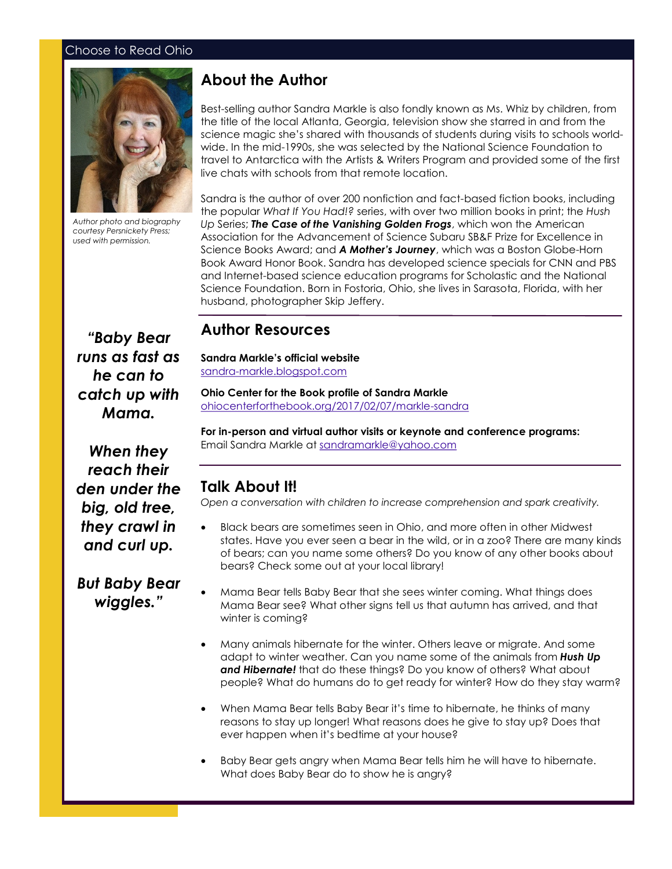#### Choose to Read Ohio



*Author photo and biography courtesy Persnickety Press; used with permission.* 

## **About the Author**

Best-selling author Sandra Markle is also fondly known as Ms. Whiz by children, from the title of the local Atlanta, Georgia, television show she starred in and from the science magic she's shared with thousands of students during visits to schools worldwide. In the mid-1990s, she was selected by the National Science Foundation to travel to Antarctica with the Artists & Writers Program and provided some of the first live chats with schools from that remote location.

Sandra is the author of over 200 nonfiction and fact-based fiction books, including the popular *What If You Had!?* series, with over two million books in print; the *Hush Up* Series; *The Case of the Vanishing Golden Frogs*, which won the American Association for the Advancement of Science Subaru SB&F Prize for Excellence in Science Books Award; and *A Mother's Journey*, which was a Boston Globe-Horn Book Award Honor Book. Sandra has developed science specials for CNN and PBS and Internet-based science education programs for Scholastic and the National Science Foundation. Born in Fostoria, Ohio, she lives in Sarasota, Florida, with her husband, photographer Skip Jeffery.

## *"Baby Bear runs as fast as he can to catch up with Mama.*

#### **Author Resources**

**Sandra Markle's official website** [sandra-markle.blogspot.com](https://sandra-markle.blogspot.com/)

**Ohio Center for the Book profile of Sandra Markle** [ohiocenterforthebook.org/2017/02/07/markle-sandra](https://ohiocenterforthebook.org/2017/02/07/markle-sandra/)

**For in-person and virtual author visits or keynote and conference programs:**  Email Sandra Markle at [sandramarkle@yahoo.com](mailto:sandramarkle@yahoo.com)

## **Talk About It!**

*Open a conversation with children to increase comprehension and spark creativity.*

- Black bears are sometimes seen in Ohio, and more often in other Midwest states. Have you ever seen a bear in the wild, or in a zoo? There are many kinds of bears; can you name some others? Do you know of any other books about bears? Check some out at your local library!
- Mama Bear tells Baby Bear that she sees winter coming. What things does Mama Bear see? What other signs tell us that autumn has arrived, and that winter is coming?
- Many animals hibernate for the winter. Others leave or migrate. And some adapt to winter weather. Can you name some of the animals from *Hush Up and Hibernate!* that do these things? Do you know of others? What about people? What do humans do to get ready for winter? How do they stay warm?
- When Mama Bear tells Baby Bear it's time to hibernate, he thinks of many reasons to stay up longer! What reasons does he give to stay up? Does that ever happen when it's bedtime at your house?
- Baby Bear gets angry when Mama Bear tells him he will have to hibernate. What does Baby Bear do to show he is angry?

*When they reach their den under the big, old tree, they crawl in and curl up.* 

*But Baby Bear wiggles."*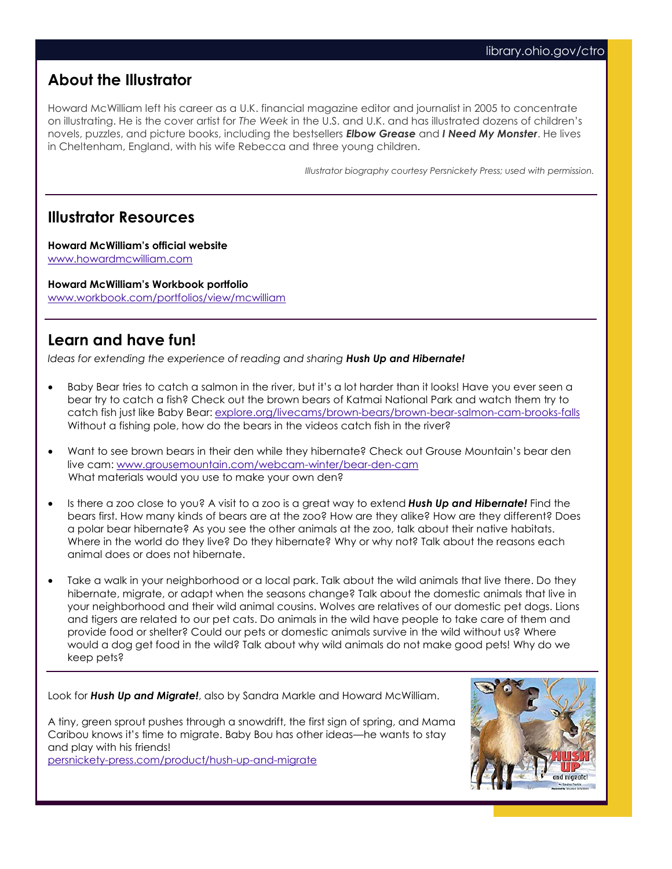## **About the Illustrator**

Howard McWilliam left his career as a U.K. financial magazine editor and journalist in 2005 to concentrate on illustrating. He is the cover artist for *The Week* in the U.S. and U.K. and has illustrated dozens of children's novels, puzzles, and picture books, including the bestsellers *Elbow Grease* and *I Need My Monster*. He lives in Cheltenham, England, with his wife Rebecca and three young children.

*Illustrator biography courtesy Persnickety Press; used with permission.*

### **Illustrator Resources**

**Howard McWilliam's official website** [www.howardmcwilliam.com](https://www.howardmcwilliam.com/)

**Howard McWilliam's Workbook portfolio** [www.workbook.com/portfolios/view/mcwilliam](https://www.workbook.com/portfolios/view/mcwilliam)

## **Learn and have fun!**

*Ideas for extending the experience of reading and sharing Hush Up and Hibernate!* 

- Baby Bear tries to catch a salmon in the river, but it's a lot harder than it looks! Have you ever seen a bear try to catch a fish? Check out the brown bears of Katmai National Park and watch them try to catch fish just like Baby Bear: [explore.org/livecams/brown-bears/brown-bear-salmon-cam-brooks-falls](https://explore.org/livecams/brown-bears/brown-bear-salmon-cam-brooks-falls) Without a fishing pole, how do the bears in the videos catch fish in the river?
- Want to see brown bears in their den while they hibernate? Check out Grouse Mountain's bear den live cam: [www.grousemountain.com/webcam-winter/bear-den-cam](https://www.grousemountain.com/webcam-winter/bear-den-cam) What materials would you use to make your own den?
- Is there a zoo close to you? A visit to a zoo is a great way to extend *Hush Up and Hibernate!* Find the bears first. How many kinds of bears are at the zoo? How are they alike? How are they different? Does a polar bear hibernate? As you see the other animals at the zoo, talk about their native habitats. Where in the world do they live? Do they hibernate? Why or why not? Talk about the reasons each animal does or does not hibernate.
- Take a walk in your neighborhood or a local park. Talk about the wild animals that live there. Do they hibernate, migrate, or adapt when the seasons change? Talk about the domestic animals that live in your neighborhood and their wild animal cousins. Wolves are relatives of our domestic pet dogs. Lions and tigers are related to our pet cats. Do animals in the wild have people to take care of them and provide food or shelter? Could our pets or domestic animals survive in the wild without us? Where would a dog get food in the wild? Talk about why wild animals do not make good pets! Why do we keep pets?

Look for *Hush Up and Migrate!*, also by Sandra Markle and Howard McWilliam.

A tiny, green sprout pushes through a snowdrift, the first sign of spring, and Mama Caribou knows it's time to migrate. Baby Bou has other ideas—he wants to stay and play with his friends!

[persnickety-press.com/product/hush-up-and-migrate](https://persnickety-press.com/product/hush-up-and-migrate/)